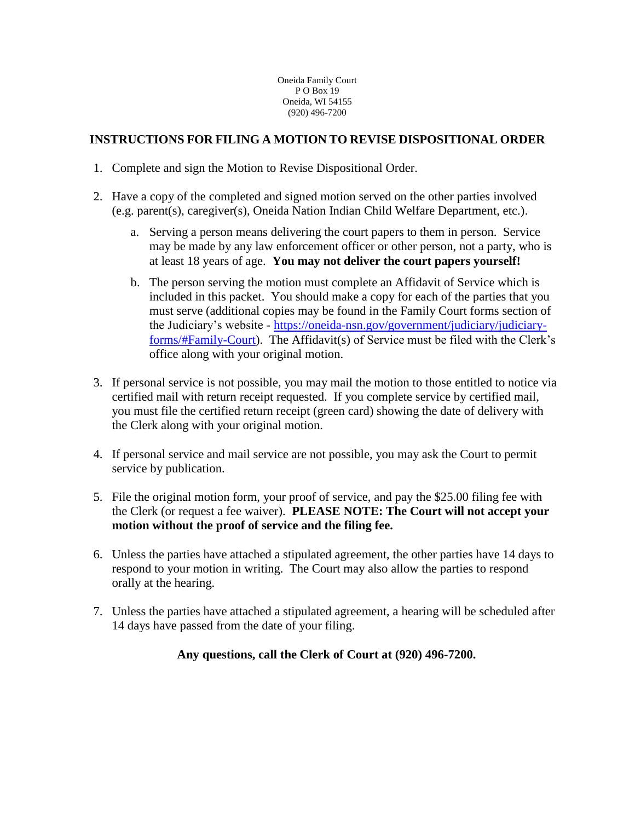Oneida Family Court P O Box 19 Oneida, WI 54155 (920) 496-7200

# **INSTRUCTIONS FOR FILING A MOTION TO REVISE DISPOSITIONAL ORDER**

- 1. Complete and sign the Motion to Revise Dispositional Order.
- 2. Have a copy of the completed and signed motion served on the other parties involved (e.g. parent(s), caregiver(s), Oneida Nation Indian Child Welfare Department, etc.).
	- a. Serving a person means delivering the court papers to them in person. Service may be made by any law enforcement officer or other person, not a party, who is at least 18 years of age. **You may not deliver the court papers yourself!**
	- b. The person serving the motion must complete an Affidavit of Service which is included in this packet. You should make a copy for each of the parties that you must serve (additional copies may be found in the Family Court forms section of the Judiciary's website - [https://oneida-nsn.gov/government/judiciary/judiciary](https://oneida-nsn.gov/government/judiciary/judiciary-forms/#Family-Court)[forms/#Family-Court\)](https://oneida-nsn.gov/government/judiciary/judiciary-forms/#Family-Court). The Affidavit(s) of Service must be filed with the Clerk's office along with your original motion.
- 3. If personal service is not possible, you may mail the motion to those entitled to notice via certified mail with return receipt requested. If you complete service by certified mail, you must file the certified return receipt (green card) showing the date of delivery with the Clerk along with your original motion.
- 4. If personal service and mail service are not possible, you may ask the Court to permit service by publication.
- 5. File the original motion form, your proof of service, and pay the \$25.00 filing fee with the Clerk (or request a fee waiver). **PLEASE NOTE: The Court will not accept your motion without the proof of service and the filing fee.**
- 6. Unless the parties have attached a stipulated agreement, the other parties have 14 days to respond to your motion in writing. The Court may also allow the parties to respond orally at the hearing.
- 7. Unless the parties have attached a stipulated agreement, a hearing will be scheduled after 14 days have passed from the date of your filing.

## **Any questions, call the Clerk of Court at (920) 496-7200.**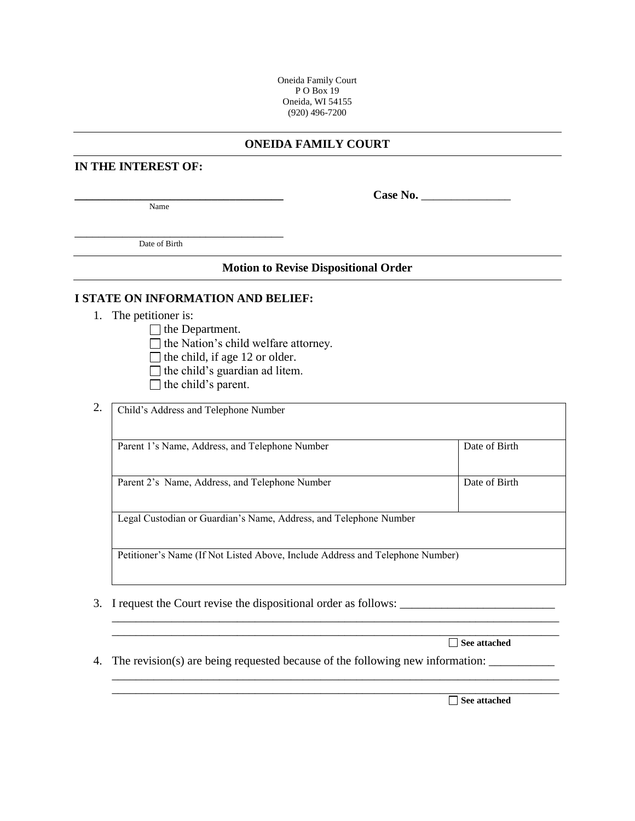Oneida Family Court PO Box 19 Oneida, WI 54155 (920) 496-7200

### **ONEIDA FAMILY COURT**

#### **IN THE INTEREST OF:**

Name

 $Case No.$ 

\_\_\_\_\_\_\_\_\_\_\_\_\_\_\_\_\_\_\_\_\_\_\_\_\_\_\_\_\_\_\_\_\_\_\_ Date of Birth

## **Motion to Revise Dispositional Order**

#### **I STATE ON INFORMATION AND BELIEF:**

1. The petitioner is:

 $\Box$  the Department.

- $\Box$  the Nation's child welfare attorney.
- $\Box$  the child, if age 12 or older.
- $\Box$  the child's guardian ad litem.
- $\Box$  the child's parent.
- 2. Child's Address and Telephone Number Parent 1's Name, Address, and Telephone Number Date of Birth Parent 2's Name, Address, and Telephone Number Date of Birth Legal Custodian or Guardian's Name, Address, and Telephone Number Petitioner's Name (If Not Listed Above, Include Address and Telephone Number)

\_\_\_\_\_\_\_\_\_\_\_\_\_\_\_\_\_\_\_\_\_\_\_\_\_\_\_\_\_\_\_\_\_\_\_\_\_\_\_\_\_\_\_\_\_\_\_\_\_\_\_\_\_\_\_\_\_\_\_\_\_\_\_\_\_\_\_\_\_\_\_\_\_\_\_ \_\_\_\_\_\_\_\_\_\_\_\_\_\_\_\_\_\_\_\_\_\_\_\_\_\_\_\_\_\_\_\_\_\_\_\_\_\_\_\_\_\_\_\_\_\_\_\_\_\_\_\_\_\_\_\_\_\_\_\_\_\_\_\_\_\_\_\_\_\_\_\_\_\_\_

\_\_\_\_\_\_\_\_\_\_\_\_\_\_\_\_\_\_\_\_\_\_\_\_\_\_\_\_\_\_\_\_\_\_\_\_\_\_\_\_\_\_\_\_\_\_\_\_\_\_\_\_\_\_\_\_\_\_\_\_\_\_\_\_\_\_\_\_\_\_\_\_\_\_\_ \_\_\_\_\_\_\_\_\_\_\_\_\_\_\_\_\_\_\_\_\_\_\_\_\_\_\_\_\_\_\_\_\_\_\_\_\_\_\_\_\_\_\_\_\_\_\_\_\_\_\_\_\_\_\_\_\_\_\_\_\_\_\_\_\_\_\_\_\_\_\_\_\_\_\_

3. I request the Court revise the dispositional order as follows: \_\_\_\_\_\_\_\_\_\_\_\_\_\_\_\_\_\_\_\_\_\_\_\_\_\_

|  | See attached |
|--|--------------|
|--|--------------|

4. The revision(s) are being requested because of the following new information:

**See attached**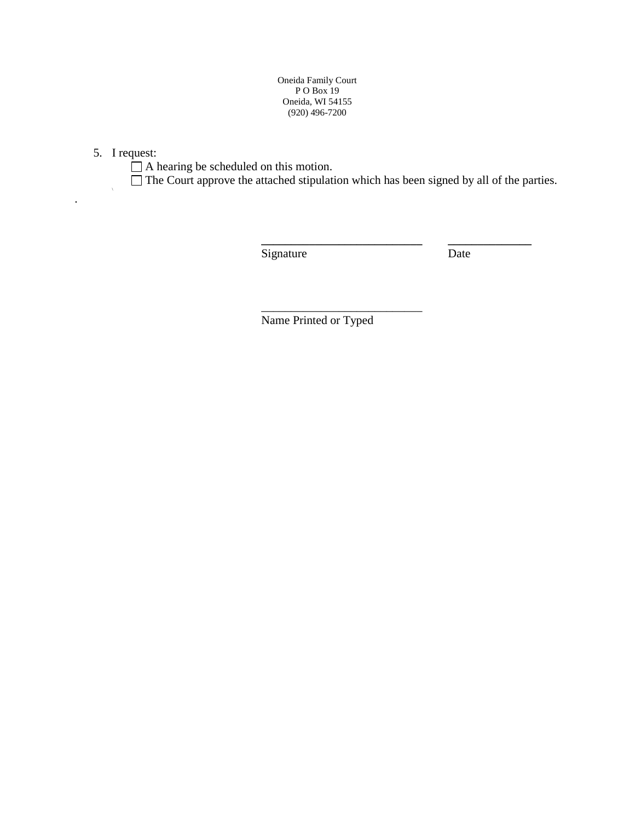Oneida Family Court P O Box 19 Oneida, WI 54155 (920) 496-7200

5. I request:

\

.

 $\Box$  A hearing be scheduled on this motion.

 $\Box$  The Court approve the attached stipulation which has been signed by all of the parties.

**\_\_\_\_\_\_\_\_\_\_\_\_\_\_\_\_\_\_\_\_\_\_\_\_\_\_\_ \_\_\_\_\_\_\_\_\_\_\_\_\_\_**

Signature Date

Name Printed or Typed

\_\_\_\_\_\_\_\_\_\_\_\_\_\_\_\_\_\_\_\_\_\_\_\_\_\_\_